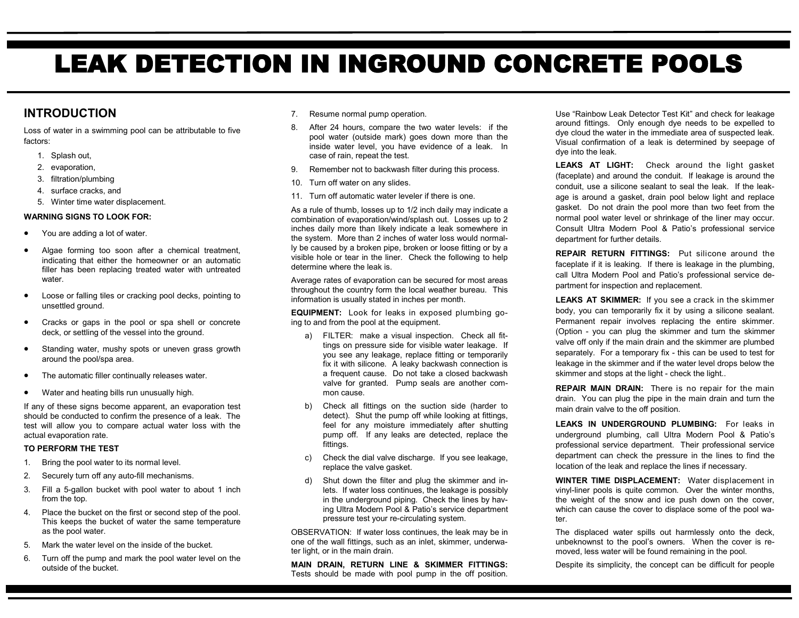# LEAK DETECTION IN INGROUND CONCRETE POOLS

## **INTRODUCTION**

Loss of water in a swimming pool can be attributable to five factors:

- 1. Splash out,
- 2. evaporation,
- 3. filtration/plumbing
- 4. surface cracks, and
- 5. Winter time water displacement.

### **WARNING SIGNS TO LOOK FOR:**

- You are adding a lot of water.
- Algae forming too soon after a chemical treatment, indicating that either the homeowner or an automatic filler has been replacing treated water with untreated water.
- Loose or falling tiles or cracking pool decks, pointing to unsettled ground.
- Cracks or gaps in the pool or spa shell or concrete deck, or settling of the vessel into the ground.
- Standing water, mushy spots or uneven grass growth around the pool/spa area.
- The automatic filler continually releases water.
- Water and heating bills run unusually high.

If any of these signs become apparent, an evaporation test should be conducted to confirm the presence of a leak. The test will allow you to compare actual water loss with the actual evaporation rate.

#### **TO PERFORM THE TEST**

- 1. Bring the pool water to its normal level.
- 2. Securely turn off any auto-fill mechanisms.
- 3. Fill a 5-gallon bucket with pool water to about 1 inch from the top.
- 4. Place the bucket on the first or second step of the pool. This keeps the bucket of water the same temperature as the pool water.
- 5. Mark the water level on the inside of the bucket.
- 6. Turn off the pump and mark the pool water level on the outside of the bucket.
- 7. Resume normal pump operation.
- 8. After 24 hours, compare the two water levels: if the pool water (outside mark) goes down more than the inside water level, you have evidence of a leak. In case of rain, repeat the test.
- 9. Remember not to backwash filter during this process.
- 10. Turn off water on any slides.
- 11. Turn off automatic water leveler if there is one.

As a rule of thumb, losses up to 1/2 inch daily may indicate a combination of evaporation/wind/splash out. Losses up to 2 inches daily more than likely indicate a leak somewhere in the system. More than 2 inches of water loss would normally be caused by a broken pipe, broken or loose fitting or by a visible hole or tear in the liner. Check the following to help determine where the leak is.

Average rates of evaporation can be secured for most areas throughout the country form the local weather bureau. This information is usually stated in inches per month.

**EQUIPMENT:** Look for leaks in exposed plumbing going to and from the pool at the equipment.

- a) FILTER: make a visual inspection. Check all fittings on pressure side for visible water leakage. If you see any leakage, replace fitting or temporarily fix it with silicone. A leaky backwash connection is a frequent cause. Do not take a closed backwash valve for granted. Pump seals are another common cause.
- b) Check all fittings on the suction side (harder to detect). Shut the pump off while looking at fittings, feel for any moisture immediately after shutting pump off. If any leaks are detected, replace the fittings.
- c) Check the dial valve discharge. If you see leakage, replace the valve gasket.
- d) Shut down the filter and plug the skimmer and inlets. If water loss continues, the leakage is possibly in the underground piping. Check the lines by having Ultra Modern Pool & Patio's service department pressure test your re-circulating system.

OBSERVATION: If water loss continues, the leak may be in one of the wall fittings, such as an inlet, skimmer, underwater light, or in the main drain.

**MAIN DRAIN, RETURN LINE & SKIMMER FITTINGS:** Tests should be made with pool pump in the off position. Use "Rainbow Leak Detector Test Kit" and check for leakage around fittings. Only enough dye needs to be expelled to dye cloud the water in the immediate area of suspected leak. Visual confirmation of a leak is determined by seepage of dye into the leak.

**LEAKS AT LIGHT:** Check around the light gasket (faceplate) and around the conduit. If leakage is around the conduit, use a silicone sealant to seal the leak. If the leakage is around a gasket, drain pool below light and replace gasket. Do not drain the pool more than two feet from the normal pool water level or shrinkage of the liner may occur. Consult Ultra Modern Pool & Patio's professional service department for further details.

**REPAIR RETURN FITTINGS:** Put silicone around the faceplate if it is leaking. If there is leakage in the plumbing, call Ultra Modern Pool and Patio's professional service department for inspection and replacement.

**LEAKS AT SKIMMER:** If you see a crack in the skimmer body, you can temporarily fix it by using a silicone sealant. Permanent repair involves replacing the entire skimmer. (Option - you can plug the skimmer and turn the skimmer valve off only if the main drain and the skimmer are plumbed separately. For a temporary fix - this can be used to test for leakage in the skimmer and if the water level drops below the skimmer and stops at the light - check the light..

**REPAIR MAIN DRAIN:** There is no repair for the main drain. You can plug the pipe in the main drain and turn the main drain valve to the off position.

**LEAKS IN UNDERGROUND PLUMBING:** For leaks in underground plumbing, call Ultra Modern Pool & Patio's professional service department. Their professional service department can check the pressure in the lines to find the location of the leak and replace the lines if necessary.

**WINTER TIME DISPLACEMENT:** Water displacement in vinyl-liner pools is quite common. Over the winter months, the weight of the snow and ice push down on the cover, which can cause the cover to displace some of the pool water.

The displaced water spills out harmlessly onto the deck, unbeknownst to the pool's owners. When the cover is removed, less water will be found remaining in the pool.

Despite its simplicity, the concept can be difficult for people